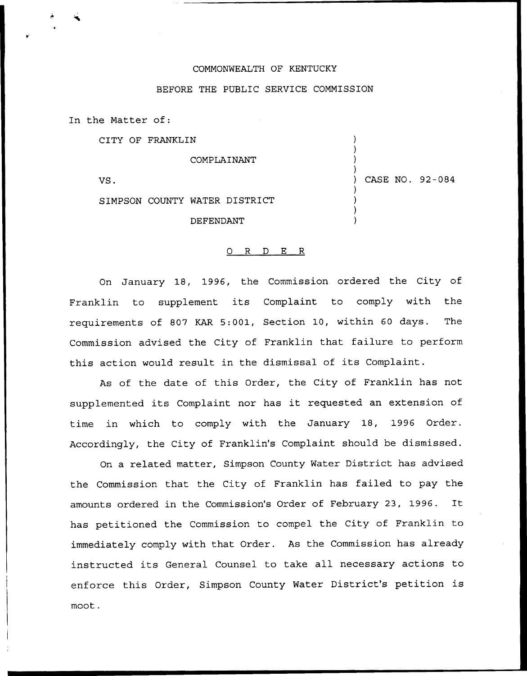## COMMONWEALTH OF KENTUCKY

## BEFORE THE PUBLIC SERVICE COMMISSION

In the Matter of:

CITY OF FRANKLIN

COMPLAINANT

VS.

) CASE NO. 92-084

) ) ) )

) ) ) )

SIMPSON COUNTY WATER DISTRICT

DEFENDANT

## 0 R <sup>D</sup> E R

On January 18, 1996, the Commission ordered the City of Franklin to supplement its Complaint to comply with the requirements of 807 KAR 5:001, Section 10, within 60 days. The Commission advised the City of Franklin that failure to perform this action would result in the dismissal of its Complaint.

As of the date of this Order, the City of Franklin has not supplemented its Complaint nor has it requested an extension of time in which to comply with the January 18, 1996 Order. Accordingly, the City of Franklin's Complaint should be dismissed.

On a related matter, Simpson County Water District has advised the Commission that the City of Franklin has failed to pay the amounts ordered in the Commission's Order of February 23, 1996. It has petitioned the Commission to compel the City of Franklin to immediately comply with that Order. As the Commission has already instructed its General Counsel to take all necessary actions to enforce this Order, Simpson County Water District's petition is moot.